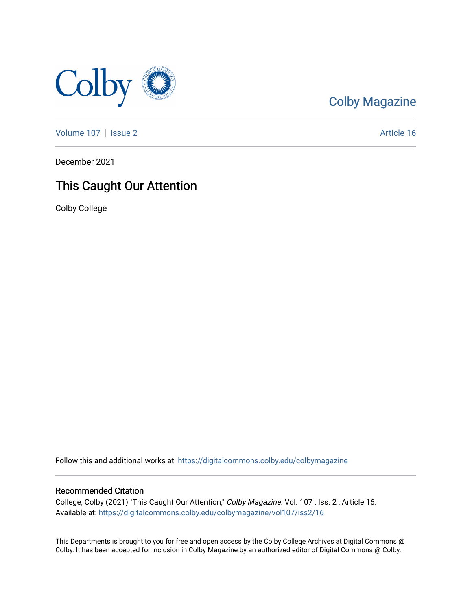

## [Colby Magazine](https://digitalcommons.colby.edu/colbymagazine)

[Volume 107](https://digitalcommons.colby.edu/colbymagazine/vol107) | [Issue 2](https://digitalcommons.colby.edu/colbymagazine/vol107/iss2) Article 16

December 2021

## This Caught Our Attention

Colby College

Follow this and additional works at: [https://digitalcommons.colby.edu/colbymagazine](https://digitalcommons.colby.edu/colbymagazine?utm_source=digitalcommons.colby.edu%2Fcolbymagazine%2Fvol107%2Fiss2%2F16&utm_medium=PDF&utm_campaign=PDFCoverPages)

#### Recommended Citation

College, Colby (2021) "This Caught Our Attention," Colby Magazine: Vol. 107 : Iss. 2 , Article 16. Available at: [https://digitalcommons.colby.edu/colbymagazine/vol107/iss2/16](https://digitalcommons.colby.edu/colbymagazine/vol107/iss2/16?utm_source=digitalcommons.colby.edu%2Fcolbymagazine%2Fvol107%2Fiss2%2F16&utm_medium=PDF&utm_campaign=PDFCoverPages)

This Departments is brought to you for free and open access by the Colby College Archives at Digital Commons @ Colby. It has been accepted for inclusion in Colby Magazine by an authorized editor of Digital Commons @ Colby.